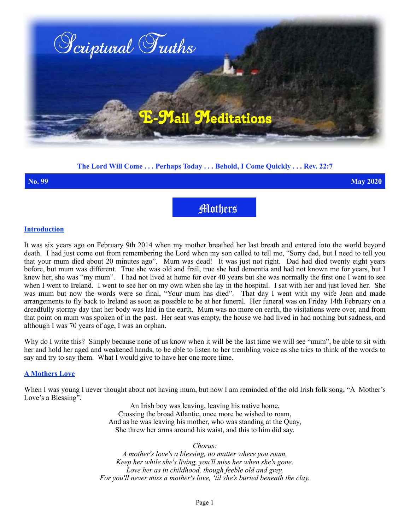

# **The Lord Will Come . . . Perhaps Today . . . Behold, I Come Quickly . . . Rev. 22:7**

**No. 99 May 2020**

Mothers

## **Introduction**

It was six years ago on February 9th 2014 when my mother breathed her last breath and entered into the world beyond death. I had just come out from remembering the Lord when my son called to tell me, "Sorry dad, but I need to tell you that your mum died about 20 minutes ago". Mum was dead! It was just not right. Dad had died twenty eight years before, but mum was different. True she was old and frail, true she had dementia and had not known me for years, but I knew her, she was "my mum". I had not lived at home for over 40 years but she was normally the first one I went to see when I went to Ireland. I went to see her on my own when she lay in the hospital. I sat with her and just loved her. She was mum but now the words were so final, "Your mum has died". That day I went with my wife Jean and made arrangements to fly back to Ireland as soon as possible to be at her funeral. Her funeral was on Friday 14th February on a dreadfully stormy day that her body was laid in the earth. Mum was no more on earth, the visitations were over, and from that point on mum was spoken of in the past. Her seat was empty, the house we had lived in had nothing but sadness, and although I was 70 years of age, I was an orphan.

Why do I write this? Simply because none of us know when it will be the last time we will see "mum", be able to sit with her and hold her aged and weakened hands, to be able to listen to her trembling voice as she tries to think of the words to say and try to say them. What I would give to have her one more time.

# **A Mothers Love**

When I was young I never thought about not having mum, but now I am reminded of the old Irish folk song, "A Mother's Love's a Blessing".

> An Irish boy was leaving, leaving his native home, Crossing the broad Atlantic, once more he wished to roam, And as he was leaving his mother, who was standing at the Quay, She threw her arms around his waist, and this to him did say.

> > *Chorus:*

*A mother's love's a blessing, no matter where you roam, Keep her while she's living, you'll miss her when she's gone. Love her as in childhood, though feeble old and grey, For you'll never miss a mother's love, 'til she's buried beneath the clay.*